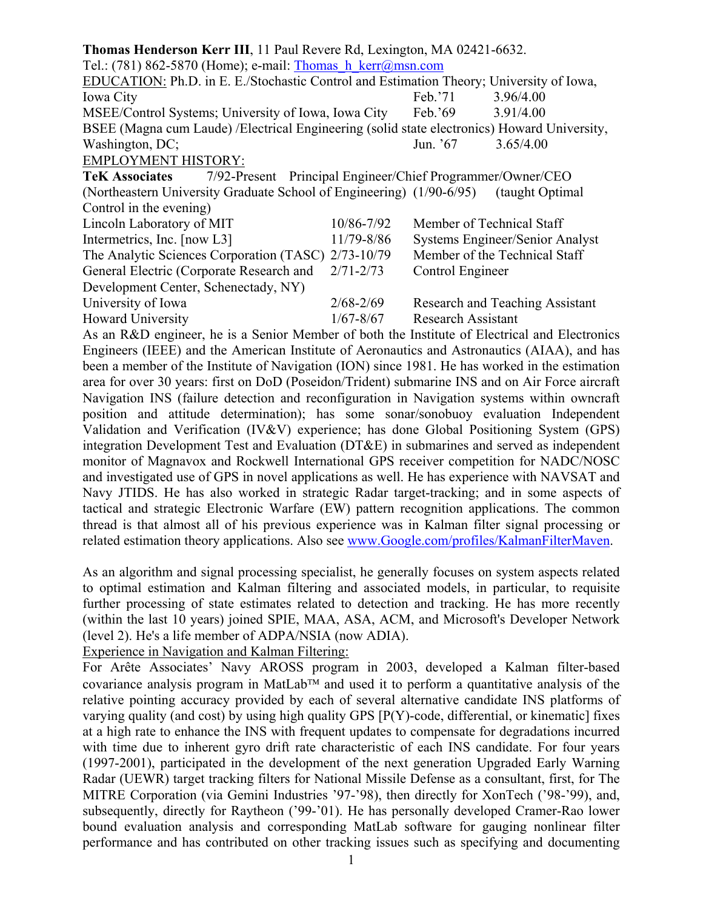**Thomas Henderson Kerr III**, 11 Paul Revere Rd, Lexington, MA 02421-6632. Tel.: (781) 862-5870 (Home); e-mail: [Thomas\\_h\\_kerr@msn.com](mailto:Thomas_h_kerr@msn.com) EDUCATION: Ph.D. in E. E./Stochastic Control and Estimation Theory; University of Iowa, Iowa City Feb.'71 3.96/4.00 MSEE/Control Systems; University of Iowa, Iowa City Feb.'69 3.91/4.00 BSEE (Magna cum Laude) /Electrical Engineering (solid state electronics) Howard University, Washington, DC; Jun. '67 3.65/4.00 EMPLOYMENT HISTORY: **TeK Associates** 7/92-Present Principal Engineer/Chief Programmer/Owner/CEO (Northeastern University Graduate School of Engineering) (1/90-6/95) (taught Optimal Control in the evening) Lincoln Laboratory of MIT 10/86-7/92 Member of Technical Staff Intermetrics, Inc. [now L3] 11/79-8/86 Systems Engineer/Senior Analyst The Analytic Sciences Corporation (TASC) 2/73-10/79 Member of the Technical Staff General Electric (Corporate Research and 2/71-2/73 Control Engineer Development Center, Schenectady, NY) University of Iowa 2/68-2/69 Research and Teaching Assistant Howard University 1/67-8/67 Research Assistant As an R&D engineer, he is a Senior Member of both the Institute of Electrical and Electronics Engineers (IEEE) and the American Institute of Aeronautics and Astronautics (AIAA), and has been a member of the Institute of Navigation (ION) since 1981. He has worked in the estimation

area for over 30 years: first on DoD (Poseidon/Trident) submarine INS and on Air Force aircraft Navigation INS (failure detection and reconfiguration in Navigation systems within owncraft position and attitude determination); has some sonar/sonobuoy evaluation Independent Validation and Verification (IV&V) experience; has done Global Positioning System (GPS) integration Development Test and Evaluation (DT&E) in submarines and served as independent monitor of Magnavox and Rockwell International GPS receiver competition for NADC/NOSC and investigated use of GPS in novel applications as well. He has experience with NAVSAT and Navy JTIDS. He has also worked in strategic Radar target-tracking; and in some aspects of tactical and strategic Electronic Warfare (EW) pattern recognition applications. The common thread is that almost all of his previous experience was in Kalman filter signal processing or related estimation theory applications. Also see [www.Google.com/profiles/KalmanFilterMaven](http://www.google.com/profiles/KalmanFilterMaven).

As an algorithm and signal processing specialist, he generally focuses on system aspects related to optimal estimation and Kalman filtering and associated models, in particular, to requisite further processing of state estimates related to detection and tracking. He has more recently (within the last 10 years) joined SPIE, MAA, ASA, ACM, and Microsoft's Developer Network (level 2). He's a life member of ADPA/NSIA (now ADIA).

Experience in Navigation and Kalman Filtering:

For Arête Associates' Navy AROSS program in 2003, developed a Kalman filter-based covariance analysis program in MatLab<sup>TM</sup> and used it to perform a quantitative analysis of the relative pointing accuracy provided by each of several alternative candidate INS platforms of varying quality (and cost) by using high quality GPS [P(Y)-code, differential, or kinematic] fixes at a high rate to enhance the INS with frequent updates to compensate for degradations incurred with time due to inherent gyro drift rate characteristic of each INS candidate. For four years (1997-2001), participated in the development of the next generation Upgraded Early Warning Radar (UEWR) target tracking filters for National Missile Defense as a consultant, first, for The MITRE Corporation (via Gemini Industries '97-'98), then directly for XonTech ('98-'99), and, subsequently, directly for Raytheon ('99-'01). He has personally developed Cramer-Rao lower bound evaluation analysis and corresponding MatLab software for gauging nonlinear filter performance and has contributed on other tracking issues such as specifying and documenting